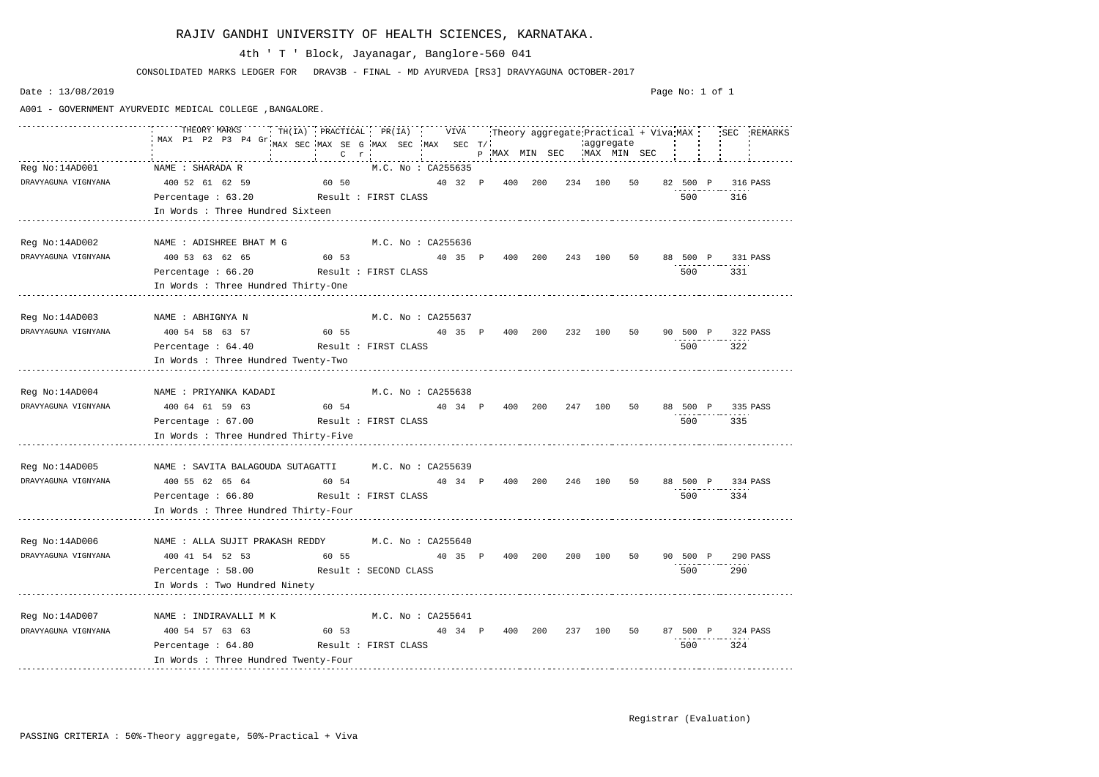|                     | THEORY MARKS THILLA) PRACTICAL PR(IA) VIVA Theory aggregate Practical + Viva MAX SEC REMARKS |                                                                                                            |                    |  |  |  |  |  |                   |     |  |
|---------------------|----------------------------------------------------------------------------------------------|------------------------------------------------------------------------------------------------------------|--------------------|--|--|--|--|--|-------------------|-----|--|
|                     |                                                                                              | M.C. No : CA255635                                                                                         |                    |  |  |  |  |  |                   |     |  |
|                     | DRAVYAGUNA VIGNYANA 400 52 61 62 59 60 50 40 32 P 400 200 234 100 50 82 500 P 316 PASS       |                                                                                                            |                    |  |  |  |  |  |                   |     |  |
|                     | Percentage: 63.20 Result: FIRST CLASS                                                        |                                                                                                            |                    |  |  |  |  |  | 500 — 100         | 316 |  |
|                     | In Words : Three Hundred Sixteen                                                             |                                                                                                            |                    |  |  |  |  |  |                   |     |  |
|                     |                                                                                              |                                                                                                            |                    |  |  |  |  |  |                   |     |  |
|                     | Reg No:14AD002 NAME : ADISHREE BHAT M G M.C. No : CA255636                                   |                                                                                                            |                    |  |  |  |  |  |                   |     |  |
|                     | DRAVYAGUNA VIGNYANA 400 53 63 62 65 60 53 60 53 40 35 P 400 200 243 100 50 88 500 P 331 PASS |                                                                                                            |                    |  |  |  |  |  |                   |     |  |
|                     | Percentage: 66.20 Result: FIRST CLASS                                                        |                                                                                                            |                    |  |  |  |  |  | 500 — 100         | 331 |  |
|                     | In Words : Three Hundred Thirty-One                                                          |                                                                                                            |                    |  |  |  |  |  |                   |     |  |
|                     |                                                                                              |                                                                                                            |                    |  |  |  |  |  |                   |     |  |
|                     | Reg No:14AD003 NAME : ABHIGNYA N M.C. No : CA255637                                          |                                                                                                            |                    |  |  |  |  |  |                   |     |  |
|                     | DRAVYAGUNA VIGNYANA 400 54 58 63 57 60 55 40 35 P 400 200 232 100 50 90 500 P 322 PASS       |                                                                                                            |                    |  |  |  |  |  |                   |     |  |
|                     | Percentage: 64.40 Result: FIRST CLASS                                                        |                                                                                                            |                    |  |  |  |  |  | 500 322           |     |  |
|                     | In Words : Three Hundred Twenty-Two                                                          |                                                                                                            |                    |  |  |  |  |  |                   |     |  |
|                     |                                                                                              |                                                                                                            |                    |  |  |  |  |  |                   |     |  |
|                     | Reg No:14AD004 MAME : PRIYANKA KADADI M.C. No : CA255638                                     |                                                                                                            |                    |  |  |  |  |  |                   |     |  |
|                     |                                                                                              |                                                                                                            |                    |  |  |  |  |  | 88 500 P 335 PASS |     |  |
|                     | Percentage: 67.00 Result: FIRST CLASS                                                        |                                                                                                            |                    |  |  |  |  |  | 500 — 100         | 335 |  |
|                     | In Words : Three Hundred Thirty-Five                                                         |                                                                                                            |                    |  |  |  |  |  |                   |     |  |
|                     |                                                                                              |                                                                                                            |                    |  |  |  |  |  |                   |     |  |
|                     | Reg No:14AD005 MAME : SAVITA BALAGOUDA SUTAGATTI M.C. No : CA255639                          |                                                                                                            |                    |  |  |  |  |  |                   |     |  |
|                     | DRAVYAGUNA VIGNYANA 400 55 62 65 64 60 54 40 34 P 400 200 246 100 50 88 500 P 334 PASS       |                                                                                                            |                    |  |  |  |  |  |                   |     |  |
|                     | Percentage: 66.80 Result: FIRST CLASS                                                        |                                                                                                            |                    |  |  |  |  |  | 500               | 334 |  |
|                     | In Words : Three Hundred Thirty-Four                                                         |                                                                                                            |                    |  |  |  |  |  |                   |     |  |
|                     |                                                                                              |                                                                                                            |                    |  |  |  |  |  |                   |     |  |
| Reg No:14AD006      | NAME : ALLA SUJIT PRAKASH REDDY M.C. No : CA255640                                           |                                                                                                            |                    |  |  |  |  |  |                   |     |  |
| DRAVYAGUNA VIGNYANA | 400 41 54 52 53                                                                              |                                                                                                            |                    |  |  |  |  |  |                   |     |  |
|                     | Percentage : 58.00 Result : SECOND CLASS                                                     |                                                                                                            |                    |  |  |  |  |  | 500               | 290 |  |
|                     | In Words : Two Hundred Ninety                                                                |                                                                                                            |                    |  |  |  |  |  |                   |     |  |
|                     |                                                                                              |                                                                                                            |                    |  |  |  |  |  |                   |     |  |
|                     |                                                                                              |                                                                                                            | M.C. No : CA255641 |  |  |  |  |  |                   |     |  |
| DRAVYAGUNA VIGNYANA | 400 54 57 63 63                                                                              | 60 53                           40   34   P     400   200     237   100   50     87   500   P     324 PASS |                    |  |  |  |  |  |                   |     |  |
|                     | Percentage : 64.80 Result : FIRST CLASS                                                      |                                                                                                            |                    |  |  |  |  |  | 500               | 324 |  |
|                     | In Words : Three Hundred Twenty-Four                                                         |                                                                                                            |                    |  |  |  |  |  |                   |     |  |

CONSOLIDATED MARKS LEDGER FOR DRAV3B - FINAL - MD AYURVEDA [RS3] DRAVYAGUNA OCTOBER-2017

# 4th ' T ' Block, Jayanagar, Banglore-560 041

Date : 13/08/2019

A001 - GOVERNMENT AYURVEDIC MEDICAL COLLEGE ,BANGALORE.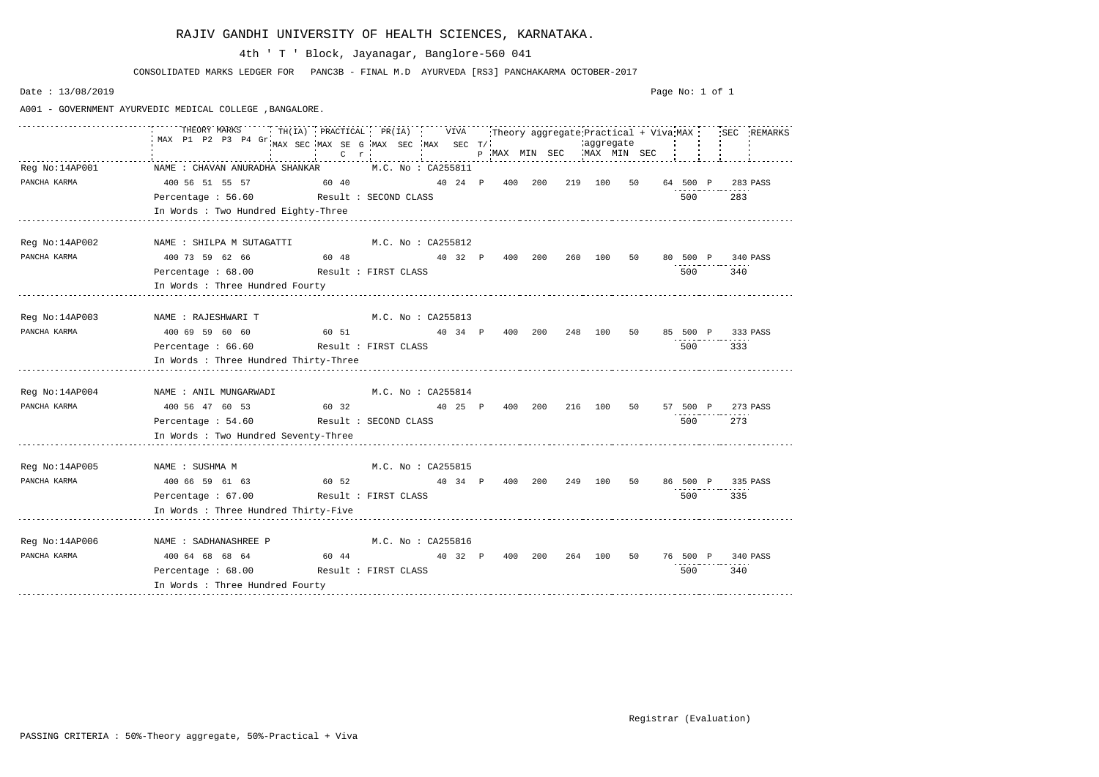|                                | THEORY MARKS<br>TH(IA) PRACTICAL PR(IA) VIVA<br>MAX P1 P2 P3 P4 Gr.           | MAX SEC MAX SE G MAX SEC MAX SEC T/<br>$C \t T$             |                    |  |                            |  | aggregate | Theory aggregate Practical + Viva MAX<br>P MAX MIN SEC WAX MIN SEC |          |                   | SEC REMARKS |
|--------------------------------|-------------------------------------------------------------------------------|-------------------------------------------------------------|--------------------|--|----------------------------|--|-----------|--------------------------------------------------------------------|----------|-------------------|-------------|
| Reg No:14AP001<br>PANCHA KARMA | NAME : CHAVAN ANURADHA SHANKAR M.C. No : CA255811<br>400 56 51 55 57<br>60 40 |                                                             |                    |  | 40 24 P 400 200            |  | 219 100   | 50                                                                 | 64 500 P |                   | 283 PASS    |
|                                | Percentage : 56.60 Result : SECOND CLASS                                      |                                                             |                    |  |                            |  |           |                                                                    | 500      | 283               |             |
|                                | In Words : Two Hundred Eighty-Three                                           |                                                             |                    |  |                            |  |           |                                                                    |          |                   |             |
|                                |                                                                               |                                                             |                    |  |                            |  |           |                                                                    |          |                   |             |
| Reg No:14AP002                 | NAME : SHILPA M SUTAGATTI                                                     | M.C. No : CA255812                                          |                    |  |                            |  |           |                                                                    |          |                   |             |
| PANCHA KARMA                   | 400 73 59 62 66                                                               | 60 48                            40 32    P      400    200 |                    |  |                            |  | 260 100   | 50                                                                 | 80 500 P |                   | 340 PASS    |
|                                | Percentage: 68.00 Result: FIRST CLASS                                         |                                                             |                    |  |                            |  |           |                                                                    | 500      | 340               |             |
|                                | In Words : Three Hundred Fourty                                               |                                                             |                    |  |                            |  |           |                                                                    |          |                   |             |
|                                |                                                                               |                                                             |                    |  |                            |  |           |                                                                    |          |                   |             |
| Reg No:14AP003                 | NAME : RAJESHWARI T                                                           |                                                             | M.C. No : CA255813 |  |                            |  |           |                                                                    |          |                   |             |
| PANCHA KARMA                   | $400\,69\,59\,60\,60$ $60\,51$ $40\,34$ $P$ $400\,200$ $248$ $100$            |                                                             |                    |  |                            |  |           | 50                                                                 | 85 500 P |                   | 333 PASS    |
|                                | Percentage: 66.60                                                             | Result : FIRST CLASS                                        |                    |  |                            |  |           |                                                                    | 500      | 333               |             |
|                                | In Words : Three Hundred Thirty-Three                                         |                                                             |                    |  |                            |  |           |                                                                    |          |                   |             |
|                                |                                                                               |                                                             |                    |  |                            |  |           |                                                                    |          |                   |             |
| Reg No:14AP004                 | NAME : ANIL MUNGARWADI                                                        |                                                             | M.C. No : CA255814 |  |                            |  |           |                                                                    |          |                   |             |
| PANCHA KARMA                   | $400\,56\,47\,60\,53$ $53\,60\,32$ $40\,25\,P\,400\,200\,216\,100\,50$        |                                                             |                    |  |                            |  |           |                                                                    | 57 500 P |                   | 273 PASS    |
|                                | Percentage: 54.60 Result: SECOND CLASS                                        |                                                             |                    |  |                            |  |           |                                                                    | 500 60   | 273               |             |
|                                | In Words : Two Hundred Seventy-Three                                          |                                                             |                    |  |                            |  |           |                                                                    |          |                   |             |
|                                |                                                                               |                                                             |                    |  |                            |  |           |                                                                    |          |                   |             |
| Reg No:14AP005                 | NAME : SUSHMA M                                                               |                                                             | M.C. No : CA255815 |  |                            |  |           |                                                                    |          |                   |             |
| PANCHA KARMA                   | 400 66 59 61 63 60 52                                                         |                                                             |                    |  | 40 34 P 400 200 249 100 50 |  |           |                                                                    |          | 86 500 P 335 PASS |             |
|                                | Percentage : 67.00                                                            | Result : FIRST CLASS                                        |                    |  |                            |  |           |                                                                    | 500      | 335               |             |
|                                | In Words : Three Hundred Thirty-Five                                          |                                                             |                    |  |                            |  |           |                                                                    |          |                   |             |
|                                |                                                                               |                                                             |                    |  |                            |  |           |                                                                    |          |                   |             |
| Reg No:14AP006                 | NAME : SADHANASHREE P                                                         |                                                             | M.C. No : CA255816 |  |                            |  |           |                                                                    |          |                   |             |
| PANCHA KARMA                   | $40064686864$ 60 44 $4032$ P 400 200 264 100 50                               |                                                             |                    |  |                            |  |           |                                                                    | 76 500 P |                   | 340 PASS    |
|                                | Percentage : 68.00 Result : FIRST CLASS                                       |                                                             |                    |  |                            |  |           |                                                                    | 500      | 340               |             |
|                                | In Words : Three Hundred Fourty                                               |                                                             |                    |  |                            |  |           |                                                                    |          |                   |             |

CONSOLIDATED MARKS LEDGER FOR PANC3B - FINAL M.D AYURVEDA [RS3] PANCHAKARMA OCTOBER-2017

4th ' T ' Block, Jayanagar, Banglore-560 041

Date : 13/08/2019

A001 - GOVERNMENT AYURVEDIC MEDICAL COLLEGE ,BANGALORE.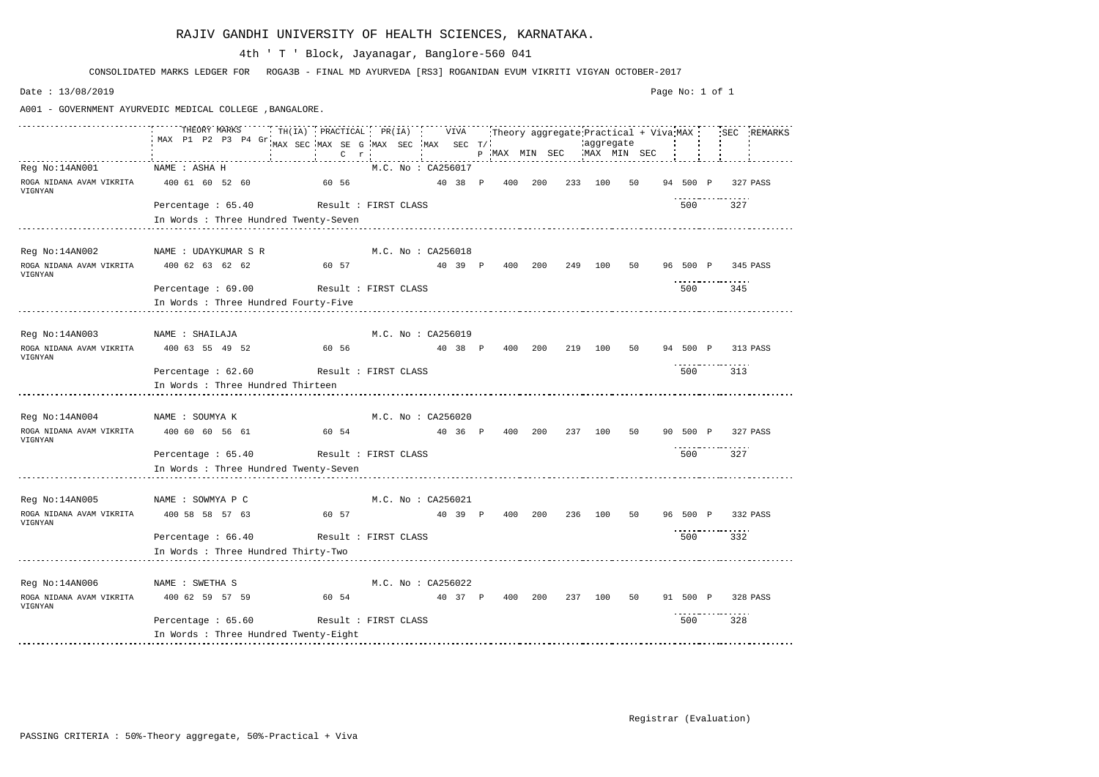|                                                                | THEORY MARKS<br>MAX P1 P2 P3 P4 Gr      | TH(IA) PRACTICAL PR(IA) VIVA Theory aggregate Practical + Viva MAX ; SEC REMARKS |         |  |                    |         |                                              |         |           |    |  |     |                          |  |
|----------------------------------------------------------------|-----------------------------------------|----------------------------------------------------------------------------------|---------|--|--------------------|---------|----------------------------------------------|---------|-----------|----|--|-----|--------------------------|--|
|                                                                |                                         | MAX SEC MAX SE G MAX SEC MAX SEC T/                                              |         |  |                    |         | P MAX MIN SEC WAX MIN SEC                    |         | aggregate |    |  |     |                          |  |
|                                                                |                                         |                                                                                  | $C$ $r$ |  |                    |         |                                              |         |           |    |  |     |                          |  |
| Reg No:14AN001                                                 | NAME : ASHA H                           |                                                                                  |         |  | M.C. No : CA256017 |         |                                              |         |           |    |  |     |                          |  |
| ROGA NIDANA AVAM VIKRITA 400 61 60 52 60 60 60 56<br>VIGNYAN   |                                         |                                                                                  |         |  |                    |         | 40 38 P 400 200 233 100 50                   |         |           |    |  |     | 94 500 P 327 PASS        |  |
|                                                                | Percentage : 65.40 Result : FIRST CLASS |                                                                                  |         |  |                    |         |                                              |         |           |    |  | 500 | 327                      |  |
|                                                                | In Words : Three Hundred Twenty-Seven   |                                                                                  |         |  |                    |         |                                              |         |           |    |  |     |                          |  |
|                                                                |                                         |                                                                                  |         |  |                    |         |                                              |         |           |    |  |     |                          |  |
| Reg No:14AN002 NAME : UDAYKUMAR S R M.C. No : CA256018         |                                         |                                                                                  |         |  |                    |         |                                              |         |           |    |  |     |                          |  |
| ROGA NIDANA AVAM VIKRITA $400$ 62 63 62 62 63 60 57<br>VIGNYAN |                                         |                                                                                  |         |  |                    |         | 40 39 P 400 200 249 100 50 96 500 P 345 PASS |         |           |    |  |     | .                        |  |
|                                                                | Percentage: 69.00 Result: FIRST CLASS   |                                                                                  |         |  |                    |         |                                              |         |           |    |  | 500 | 345                      |  |
|                                                                | In Words : Three Hundred Fourty-Five    |                                                                                  |         |  |                    |         |                                              |         |           |    |  |     |                          |  |
|                                                                |                                         |                                                                                  |         |  |                    |         |                                              |         |           |    |  |     |                          |  |
| Reg No:14AN003 NAME : SHAILAJA                                 |                                         |                                                                                  |         |  | M.C. No : CA256019 |         |                                              |         |           |    |  |     |                          |  |
| VIGNYAN                                                        |                                         |                                                                                  |         |  |                    |         |                                              |         |           |    |  |     | 94 500 P 313 PASS        |  |
|                                                                | Percentage : 62.60 Result : FIRST CLASS |                                                                                  |         |  |                    |         |                                              |         |           |    |  | 500 | 313                      |  |
|                                                                | In Words : Three Hundred Thirteen       |                                                                                  |         |  |                    |         |                                              |         |           |    |  |     |                          |  |
|                                                                |                                         |                                                                                  |         |  |                    |         |                                              |         |           |    |  |     |                          |  |
| Reg No:14AN004 NAME : SOUMYA K                                 |                                         |                                                                                  |         |  | M.C. No : CA256020 |         |                                              |         |           |    |  |     |                          |  |
| ROGA NIDANA AVAM VIKRITA 400 60 60 56 61<br>VIGNYAN            |                                         | 60 54                                                                            |         |  |                    |         | 40 36 P 400 200 237 100 50 90 500 P 327 PASS |         |           |    |  |     |                          |  |
|                                                                | Percentage : 65.40 Result : FIRST CLASS |                                                                                  |         |  |                    |         |                                              |         |           |    |  | 500 | 327                      |  |
|                                                                | In Words : Three Hundred Twenty-Seven   |                                                                                  |         |  |                    |         |                                              |         |           |    |  |     |                          |  |
|                                                                |                                         |                                                                                  |         |  |                    |         |                                              |         |           |    |  |     |                          |  |
| Reg No:14AN005                                                 | NAME : SOWMYA P C                       |                                                                                  |         |  | M.C. No : CA256021 |         |                                              |         |           |    |  |     |                          |  |
| ROGA NIDANA AVAM VIKRITA 400 58 58 57 63<br>VIGNYAN            |                                         | 60 57                                                                            |         |  |                    | 40 39 P |                                              | 400 200 | 236 100   | 50 |  |     | 96 500 P 332 PASS        |  |
|                                                                | Percentage: 66.40 Result: FIRST CLASS   |                                                                                  |         |  |                    |         |                                              |         |           |    |  | 500 | -----------------<br>332 |  |
|                                                                | In Words : Three Hundred Thirty-Two     |                                                                                  |         |  |                    |         |                                              |         |           |    |  |     |                          |  |
|                                                                |                                         |                                                                                  |         |  |                    |         |                                              |         |           |    |  |     |                          |  |
| Reg No:14AN006                                                 | NAME : SWETHA S                         |                                                                                  |         |  | M.C. No : CA256022 |         |                                              |         |           |    |  |     |                          |  |
| ROGA NIDANA AVAM VIKRITA                                       | 400 62 59 57 59                         |                                                                                  | 60 54   |  |                    |         | 40 37 P 400 200 237 100 50                   |         |           |    |  |     | 91 500 P 328 PASS        |  |
| VIGNYAN                                                        |                                         |                                                                                  |         |  |                    |         |                                              |         |           |    |  |     |                          |  |
|                                                                | Percentage : 65.60                      | Result : FIRST CLASS                                                             |         |  |                    |         |                                              |         |           |    |  | 500 | 328                      |  |
|                                                                | In Words : Three Hundred Twenty-Eight   |                                                                                  |         |  |                    |         |                                              |         |           |    |  |     |                          |  |
|                                                                |                                         |                                                                                  |         |  |                    |         |                                              |         |           |    |  |     |                          |  |

CONSOLIDATED MARKS LEDGER FOR ROGA3B - FINAL MD AYURVEDA [RS3] ROGANIDAN EVUM VIKRITI VIGYAN OCTOBER-2017

# 4th ' T ' Block, Jayanagar, Banglore-560 041

Date : 13/08/2019

A001 - GOVERNMENT AYURVEDIC MEDICAL COLLEGE ,BANGALORE.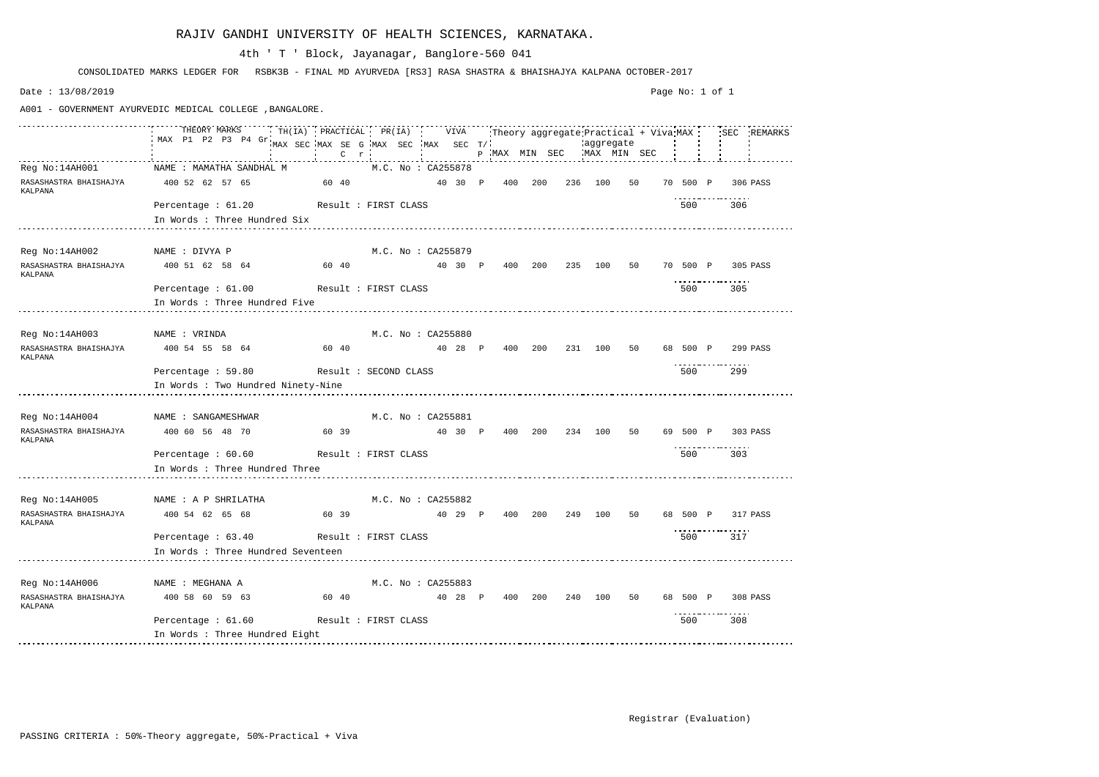|                                                   | THEORY MARKS<br>MAX P1 P2 P3 P4 Gr                                                             | TH(IA) PRACTICAL PR(IA) VIVA Theory aggregate Practical + Viva MAX SEC REMARKS |                            |         |     |                           |         |    |          |                          |          |
|---------------------------------------------------|------------------------------------------------------------------------------------------------|--------------------------------------------------------------------------------|----------------------------|---------|-----|---------------------------|---------|----|----------|--------------------------|----------|
|                                                   |                                                                                                | MAX SEC MAX SE G MAX SEC MAX SEC T/                                            | the company of the com-    |         |     | p MAX MIN SEC MAX MIN SEC |         |    |          |                          |          |
|                                                   |                                                                                                | $C$ $r$                                                                        |                            |         |     |                           |         |    |          |                          |          |
|                                                   | Req No:14AH001 NAME : MAMATHA SANDHAL M                                                        |                                                                                | M.C. No : CA255878         |         |     |                           |         |    |          |                          |          |
| RASASHASTRA BHAISHAJYA 400 52 62 57 65<br>KALPANA |                                                                                                | 60 40                           40 30   P     400   200     236   100          |                            |         |     |                           |         | 50 | 70 500 P |                          | 306 PASS |
|                                                   | Percentage : 61.20 Result : FIRST CLASS                                                        |                                                                                |                            |         |     |                           |         |    | 500      | 306                      |          |
|                                                   | In Words : Three Hundred Six                                                                   |                                                                                |                            |         |     |                           |         |    |          |                          |          |
|                                                   |                                                                                                |                                                                                |                            |         |     |                           |         |    |          |                          |          |
| Reg No:14AH002 NAME : DIVYA P                     |                                                                                                |                                                                                | M.C. No : CA255879         |         |     |                           |         |    |          |                          |          |
| RASASHASTRA BHAISHAJYA<br>KALPANA                 | 400 51 62 58 64               60 40               40 30 P 400 200 235 100 50 70 500 P 305 PASS |                                                                                |                            |         |     |                           |         |    |          |                          |          |
|                                                   | Percentage : 61.00 Result : FIRST CLASS                                                        |                                                                                |                            |         |     |                           |         |    | 500      | 305                      |          |
|                                                   | In Words : Three Hundred Five                                                                  |                                                                                |                            |         |     |                           |         |    |          |                          |          |
|                                                   |                                                                                                |                                                                                |                            |         |     |                           |         |    |          |                          |          |
| Reg No:14AH003 NAME : VRINDA                      |                                                                                                |                                                                                | $M.C.$ No : $CA255880$     |         |     |                           |         |    |          |                          |          |
| RASASHASTRA BHAISHAJYA<br>KALPANA                 | 400 54 55 58 64 60 40                                                                          |                                                                                | 40 28 P 400 200 231 100 50 |         |     |                           |         |    |          | 68 500 P 299 PASS        |          |
|                                                   | Percentage: 59.80 Result: SECOND CLASS                                                         |                                                                                |                            |         |     |                           |         |    | 500      | 299                      |          |
|                                                   | In Words : Two Hundred Ninety-Nine                                                             |                                                                                |                            |         |     |                           |         |    |          |                          |          |
|                                                   |                                                                                                |                                                                                |                            |         |     |                           |         |    |          |                          |          |
|                                                   | Reg No:14AH004 MAME : SANGAMESHWAR                                                             |                                                                                | M.C. No : CA255881         |         |     |                           |         |    |          |                          |          |
| RASASHASTRA BHAISHAJYA<br>KALPANA                 | 400 60 56 48 70                                                                                | 60 39                                                                          | 40 30 P 400 200 234 100 50 |         |     |                           |         |    |          | 69 500 P 303 PASS        |          |
|                                                   | Percentage : 60.60 Result : FIRST CLASS                                                        |                                                                                |                            |         |     |                           |         |    | 500      | 303                      |          |
|                                                   | In Words : Three Hundred Three                                                                 |                                                                                |                            |         |     |                           |         |    |          |                          |          |
|                                                   |                                                                                                |                                                                                |                            |         |     |                           |         |    |          |                          |          |
| Reg No:14AH005                                    | NAME : A P SHRILATHA                                                                           |                                                                                | M.C. No : CA255882         |         |     |                           |         |    |          |                          |          |
| RASASHASTRA BHAISHAJYA<br>KALPANA                 | 400 54 62 65 68                                                                                | $60\quad 39$                                                                   |                            | 40 29 P | 400 | 200                       | 249 100 | 50 | 68 500 P |                          | 317 PASS |
|                                                   | Percentage : 63.40                                                                             | Result : FIRST CLASS                                                           |                            |         |     |                           |         |    | 500      | -----------------<br>317 |          |
|                                                   | In Words : Three Hundred Seventeen                                                             |                                                                                |                            |         |     |                           |         |    |          |                          |          |
|                                                   |                                                                                                |                                                                                |                            |         |     |                           |         |    |          |                          |          |
| Reg No:14AH006                                    | NAME : MEGHANA A                                                                               |                                                                                | M.C. No: CA255883          |         |     |                           |         |    |          |                          |          |
| RASASHASTRA BHAISHAJYA<br>KALPANA                 | 400 58 60 59 63                                                                                | 60 40                                                                          |                            | 40 28 P |     | 400 200 240 100 50        |         |    | 68 500 P | 308 PASS                 |          |
|                                                   | Percentage $: 61.60$                                                                           | Result : FIRST CLASS                                                           |                            |         |     |                           |         |    | 500      | 308                      |          |
|                                                   | In Words : Three Hundred Eight                                                                 |                                                                                |                            |         |     |                           |         |    |          |                          |          |
|                                                   |                                                                                                |                                                                                |                            |         |     |                           |         |    |          |                          |          |

CONSOLIDATED MARKS LEDGER FOR RSBK3B - FINAL MD AYURVEDA [RS3] RASA SHASTRA & BHAISHAJYA KALPANA OCTOBER-2017

# 4th ' T ' Block, Jayanagar, Banglore-560 041

Date : 13/08/2019

A001 - GOVERNMENT AYURVEDIC MEDICAL COLLEGE ,BANGALORE.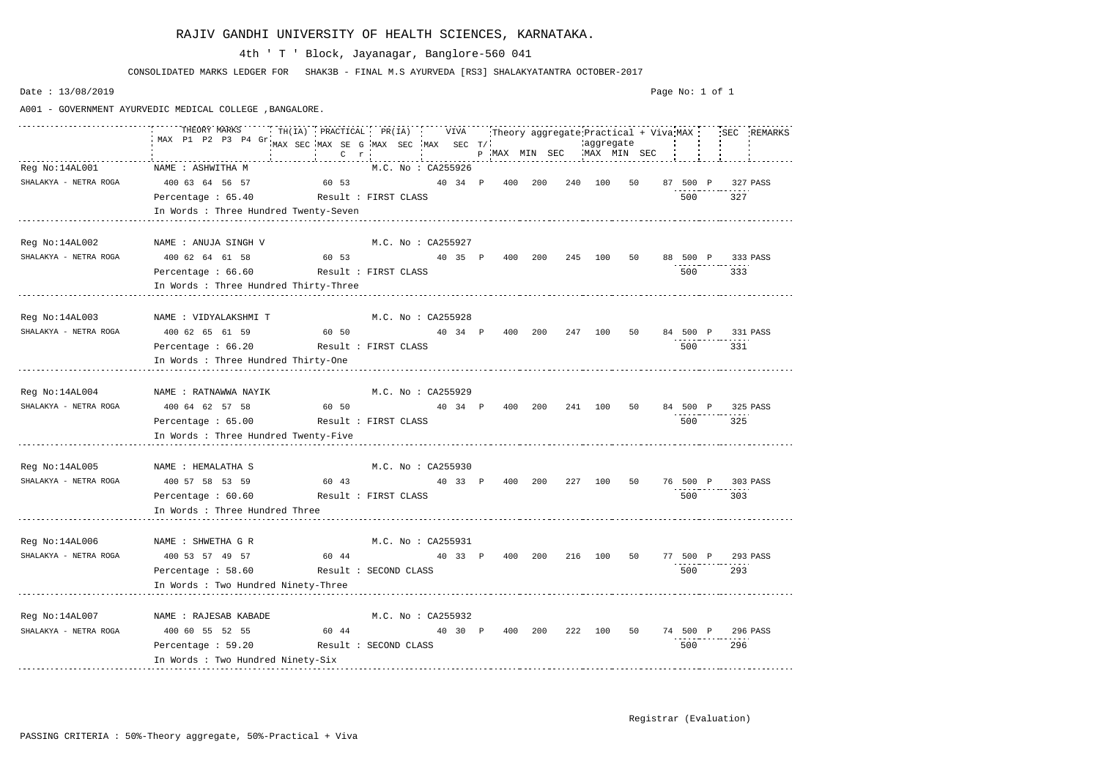|                                       | THEORY MARKS<br>THEORY MARKS THILLA) PRACTICAL PR(IA) VIVA Theory aggregate Practical + Viva MAX SEC REMARKS                                                                                                                                                           |                                                                           |                    |  |  |  |         |     |  |
|---------------------------------------|------------------------------------------------------------------------------------------------------------------------------------------------------------------------------------------------------------------------------------------------------------------------|---------------------------------------------------------------------------|--------------------|--|--|--|---------|-----|--|
|                                       | MAX P1 P2 P3 P4 Gr                                                                                                                                                                                                                                                     |                                                                           |                    |  |  |  |         |     |  |
|                                       |                                                                                                                                                                                                                                                                        |                                                                           |                    |  |  |  |         |     |  |
|                                       | Reg No:14AL001 MAME : ASHWITHA M M.C. No : CA255926                                                                                                                                                                                                                    |                                                                           |                    |  |  |  |         |     |  |
|                                       | SHALAKYA – NETRA ROGA 400 63 64 56 57 60 53 40 34 P 400 200 240 100 50 87 500 P 327 PASS                                                                                                                                                                               |                                                                           |                    |  |  |  |         |     |  |
|                                       | Percentage: 65.40 Result: FIRST CLASS                                                                                                                                                                                                                                  |                                                                           |                    |  |  |  | 500 327 |     |  |
|                                       | In Words : Three Hundred Twenty-Seven<br>ست المستخدم المستخدم المستخدم المستخدم المستخدم المستخدم المستخدم المستخدم المستخدم المستخدم المستخدم المستخدم المستخدم المستخدم المستخدم المستخدم المستخدم المستخدم المستخدم المستخدم المستخدم المستخدم المستخدم المستخدم ال |                                                                           |                    |  |  |  |         |     |  |
|                                       |                                                                                                                                                                                                                                                                        |                                                                           |                    |  |  |  |         |     |  |
|                                       | Reg No:14AL002 NAME : ANUJA SINGH V M.C. No : CA255927                                                                                                                                                                                                                 |                                                                           |                    |  |  |  |         |     |  |
|                                       | SHALAKYA - NETRA ROGA 400 62 64 61 58 60 53 40 35 P 400 200 245 100 50 88 500 P 333 PASS                                                                                                                                                                               |                                                                           |                    |  |  |  |         |     |  |
|                                       | Percentage: 66.60 Result: FIRST CLASS                                                                                                                                                                                                                                  |                                                                           |                    |  |  |  | 500 000 | 333 |  |
|                                       | In Words : Three Hundred Thirty-Three                                                                                                                                                                                                                                  |                                                                           |                    |  |  |  |         |     |  |
|                                       |                                                                                                                                                                                                                                                                        |                                                                           |                    |  |  |  |         |     |  |
|                                       | Reg No:14AL003 NAME : VIDYALAKSHMI T M.C. No : CA255928                                                                                                                                                                                                                |                                                                           |                    |  |  |  |         |     |  |
|                                       | SHALAKYA - NETRA ROGA 400 62 65 61 59 60 50 40 34 P 400 200 247 100 50 84 500 P 331 PASS                                                                                                                                                                               |                                                                           |                    |  |  |  |         |     |  |
|                                       | Percentage: 66.20 Result: FIRST CLASS                                                                                                                                                                                                                                  |                                                                           |                    |  |  |  | 500 331 |     |  |
|                                       | In Words : Three Hundred Thirty-One                                                                                                                                                                                                                                    |                                                                           |                    |  |  |  |         |     |  |
|                                       |                                                                                                                                                                                                                                                                        |                                                                           |                    |  |  |  |         |     |  |
|                                       | Reg No:14AL004 MAME : RATNAWWA NAYIK M.C. No : CA255929                                                                                                                                                                                                                |                                                                           |                    |  |  |  |         |     |  |
|                                       | SHALAKYA - NETRA ROGA 400 64 62 57 58 60 50 40 34 P 400 200 241 100 50 84 500 P 325 PASS                                                                                                                                                                               |                                                                           |                    |  |  |  |         |     |  |
|                                       | Percentage: 65.00 Result: FIRST CLASS                                                                                                                                                                                                                                  |                                                                           |                    |  |  |  | 500 325 |     |  |
|                                       | In Words : Three Hundred Twenty-Five                                                                                                                                                                                                                                   |                                                                           |                    |  |  |  |         |     |  |
|                                       |                                                                                                                                                                                                                                                                        |                                                                           |                    |  |  |  |         |     |  |
|                                       | Reg No:14AL005 NAME : HEMALATHA S M.C. No : CA255930                                                                                                                                                                                                                   |                                                                           |                    |  |  |  |         |     |  |
|                                       | SHALAKYA - NETRA ROGA 400 57 58 53 59 60 43 40 33 P 400 200 227 100 50 76 500 P 303 PASS                                                                                                                                                                               |                                                                           |                    |  |  |  |         |     |  |
|                                       | Percentage: 60.60 Result: FIRST CLASS                                                                                                                                                                                                                                  |                                                                           |                    |  |  |  | 500     | 303 |  |
|                                       | In Words : Three Hundred Three                                                                                                                                                                                                                                         |                                                                           |                    |  |  |  |         |     |  |
|                                       |                                                                                                                                                                                                                                                                        |                                                                           |                    |  |  |  |         |     |  |
| Reg No:14AL006 NAME : SHWETHA G R     |                                                                                                                                                                                                                                                                        |                                                                           | M.C. No: CA255931  |  |  |  |         |     |  |
| SHALAKYA - NETRA ROGA 400 53 57 49 57 |                                                                                                                                                                                                                                                                        | 60 44                        40 33 P 400 200 216 100 50 77 500 P 293 PASS |                    |  |  |  |         |     |  |
|                                       | Percentage: 58.60 Result: SECOND CLASS                                                                                                                                                                                                                                 |                                                                           |                    |  |  |  | 500 —   | 293 |  |
|                                       | In Words : Two Hundred Ninety-Three                                                                                                                                                                                                                                    |                                                                           |                    |  |  |  |         |     |  |
|                                       |                                                                                                                                                                                                                                                                        |                                                                           |                    |  |  |  |         |     |  |
| Reg No:14AL007 NAME : RAJESAB KABADE  |                                                                                                                                                                                                                                                                        |                                                                           | M.C. No : CA255932 |  |  |  |         |     |  |
| SHALAKYA - NETRA ROGA                 | 400 60 55 52 55        60 44          40 30  P  400  200   222  100   50   74  500  P  296 PASS                                                                                                                                                                        |                                                                           |                    |  |  |  |         |     |  |
|                                       | Percentage : 59.20 Result : SECOND CLASS                                                                                                                                                                                                                               |                                                                           |                    |  |  |  | 500     | 296 |  |
|                                       | In Words : Two Hundred Ninety-Six                                                                                                                                                                                                                                      |                                                                           |                    |  |  |  |         |     |  |

CONSOLIDATED MARKS LEDGER FOR SHAK3B - FINAL M.S AYURVEDA [RS3] SHALAKYATANTRA OCTOBER-2017

# 4th ' T ' Block, Jayanagar, Banglore-560 041

Date : 13/08/2019

A001 - GOVERNMENT AYURVEDIC MEDICAL COLLEGE ,BANGALORE.